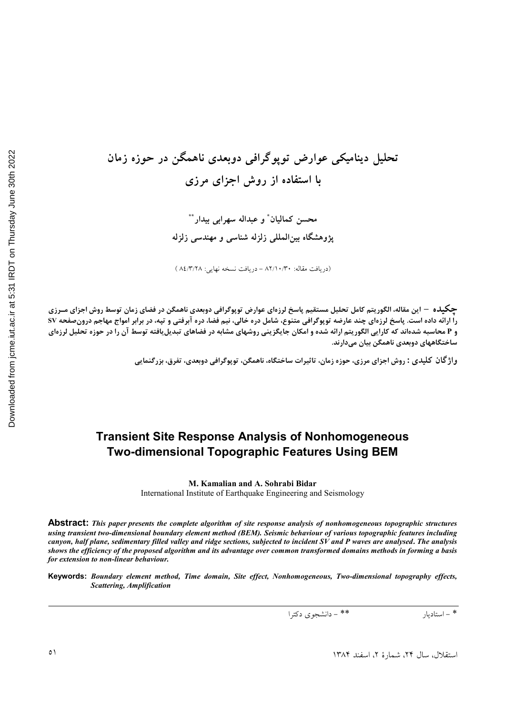تحلیل دینامیکی عوارض توپوگرافی دوبعدی ناهمگن در حوزه زمان **ا استفاده از روش اجزای مرزی** ڊ

> محسن كماليان ٌ و عبداله سهرابى بيدار ٌ ٌ پژوهشگاه بینالمللی زلزله شناسی و مهندسی زلزله

(دريافت مقاله: ٨٢/١٠/٣٠ - دريافت نسخه نهايي: ٨٤/٣/٢٨ )

**چگیل**ه – این مقاله، الگوریتم کامل تحلیل مستقیم پاسخ لرزهای عوارض توپوگرافی دوبعدیِ ناهمگن در فضای زمان توسط روش اجزای مــرزی را ارائه داده است. پاسخ لرزهای چند عارضه توپوگرافی متنوع، شامل دره خالی، نیم فضا، دره آبرفتی و تپه، در برابر امواج مهاجم درونصفحه SV و P محاسبه شدهاند که کارایی الگوریتم ارائه شده و امکان جایگزینی روشهای مشابه در فضاهای تبدیلیافته توسط آن را در حوزه تحلیل لرزهای ساختگاههای دوبعدی ناهمگن بیان میدارند.

واژ گان کلیدی : روش اجزای مرزی، حوزه زمان، تاثیرات ساختگاه، ناهمگن، توپوگرافی دوبعدی، تفرق، بزرگنمایی

# **Transient Site Response Analysis of Nonhomogeneous Two-dimensional Topographic Features Using BEM**

**M. Kamalian and A. Sohrabi Bidar**  International Institute of Earthquake Engineering and Seismology

**Abstract:** *This paper presents the complete algorithm of site response analysis of nonhomogeneous topographic structures using transient two-dimensional boundary element method (BEM). Seismic behaviour of various topographic features including canyon, half plane, sedimentary filled valley and ridge sections, subjected to incident SV and P waves are analysed***.** *The analysis shows the efficiency of the proposed algorithm and its advantage over common transformed domains methods in forming a basis for extension to non-linear behaviour.* 

**Keywords:** *Boundary element method, Time domain, Site effect, Nonhomogeneous, Two-dimensional topography effects, Scattering, Amplification*

 ./ 0123) & \*\* & \*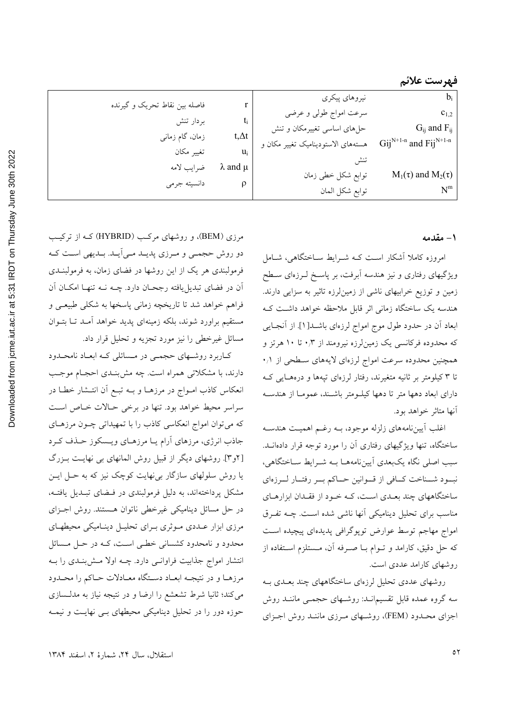| فاصله بین نقاط تحریک و گیرنده |                     | نيروهاي پيكري                      | $b_i$                                                       |
|-------------------------------|---------------------|------------------------------------|-------------------------------------------------------------|
|                               |                     | سرعت امواج طولي و عرضي             | $c_{1,2}$                                                   |
| بردار تنش                     |                     | حلهای اساسی تغییرمکان و تنش        | $G_{ij}$ and $F_{ij}$                                       |
| زمان، گام زمانی               | $t,\Delta t$        | هستههای الاستودینامیک تغییر مکان و | $\text{Gij}^{\text{N+1-n}}$ and $\text{Fij}^{\text{N+1-n}}$ |
| تغيير مكان                    | u.                  |                                    |                                                             |
| ضرايب لامه                    | $\lambda$ and $\mu$ | توابع شكل خطى زمان                 | $M_1(\tau)$ and $M_2(\tau)$                                 |
| دانسيته جرمى                  |                     | توابع شكل المان                    | $\text{N}^{\text{m}}$                                       |

#### ۱ - مقدمه

امروزه کاملا آشکار است کـه شـرایط سـاختگاهی، شـامل ویژگیهای رفتاری و نیز هندسه آبرفت، بر پاسـخ لــرزهای ســطح زمین و توزیع خرابیهای ناشی از زمینلرزه تاثیر به سزایی دارند. هندسه یک ساختگاه زمانی اثر قابل ملاحظه خواهد داشت ک ابعاد أن در حدود طول موج امواج لرزهای باشــد[۱]. از آنجــایی که محدوده فرکانسی یک زمین{رزه نیرومند از ۰٫۳ تا ۱۰ هرتز و همچنین محدوده سرعت امواج لرزهای لایههای سـطحی از ۰٫۱ تا ۳ کیلومتر بر ثانیه متغیرند، رفتار لرزهای تپهها و درههـایی کـه دارای ابعاد دهها متر تا دهها کیلومتر باشـند، عمومـا از هندسـه آنها متاثر خواهد بود.

اغلب آيين نامههاي زلزله موجود، بـه رغـم اهميـت هندسـه ساختگاه، تنها ویژگیهای رفتاری آن را مورد توجه قرار دادهانــد. سبب اصلي نگاه يکبعدي أييننامههـا بـه شـرايط سـاختگاهي، نبود شــناخت كــافي از قــوانين حــاكم بــر رفتــار لــرزهاي ساختگاههای چند بعـدی اسـت، کـه خـود از فقـدان ابزارهـای مناسب برای تحلیل دینامیکی آنها ناشی شده است. چــه تفـرق امواج مهاجم توسط عوارض توپوگرافی پدیدهای پیچیده است که حل دقیق، کارامد و تــوام بــا صـــرفه آن، مــستلزم اســتفاده از روشهای کارامد عددی است.

روشهای عددی تحلیل لرزهای ساختگاههای چند بعـدی بـه سه گروه عمده قابل تقسیمانـد: روشـهای حجمـی ماننـد روش اجزای محـدود (FEM)، روشـهای مـرزی ماننـد روش اجـزای

مرزی (BEM)، و روشهای مرکب (HYBRID) کـه از ترکیـب دو روش حجمـي و مـرزي پديـد مـي|َيـد. بـديهي اسـت كـه فرمولبندی هر یک از این روشها در فضای زمان، به فرمولبنــدی اّن در فضای تبدیلیافته رجحـان دارد. چــه نــه تنهـا امکــان اَن فراهم خواهد شد تا تاریخچه زمان<sub>ی</sub> پاسخها به شکل<sub>ی</sub> طبیعـی و مستقیم براورد شوند، بلکه زمینهای پدید خواهد آمـد تـا بتــوان مسائل غیرخطی را نیز مورد تجزیه و تحلیل قرار داد.

کاربرد روشهای حجمی در مسائلی که ابعاد نامحدود دارند، با مشکلاتی همراه است. چه مش بنـدی احجـام موجـب انعکاس کاذب امـواج در مرزهـا و بــه تبــع اَن انتــشار خطــا در سراسر محیط خواهد بود. تنها در برخی حـالات خـاص اسـت که میتوان امواج انعکاسی کاذب را با تمهیداتی چـون مرزهـای جاذب انرژی، مرزهای آرام یـا مرزهـای ویـسکوز حـذف کـرد [۲و۳]. روشهای دیگر از قبیل روش المانهای بی نهایـت بـزرگ یا روش سلولهای سازگار بی نهایت کوچک نیز که به حـل ایــن مشکل پرداختهاند، به دلیل فرمولبندی در فهضای تبلدیل یافتـه، در حل مسائل دینامیکی غیرخطی ناتوان هستند. روش اجزای مرزی ابزار عـددی مـوثری بـرای تحليـل دينـاميکي محيطهـای محدود و نامحدود کشسانی خطبی است، کـه در حـل مـسائل انتشار امواج جذابیت فراوانسی دارد. چـه اولا مـش;بنـدی را بـه مرزهـا و در نتيجـه ابعـاد دسـتگاه معـادلات حـاكم را محـدود میکند؛ ثانیا شرط تشعشع را ارضا و در نتیجه نیاز به مدلـسازی حوزه دور را در تحلیل دینامیکی محیطهای بـی نهایـت و نیمـه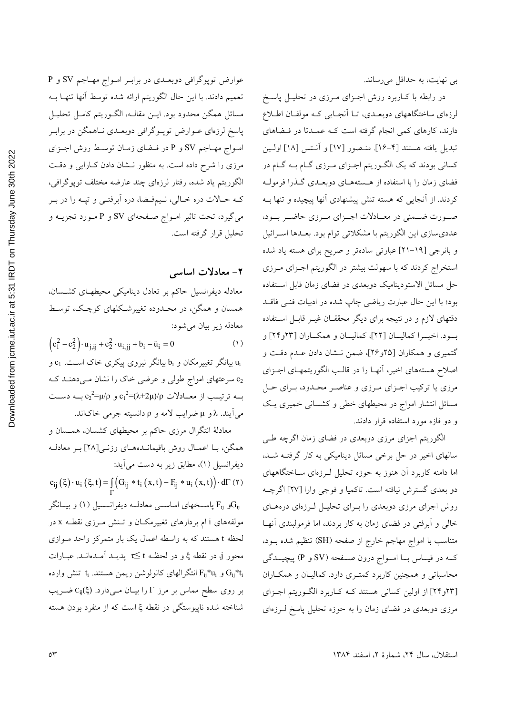بی نهایت، به حداقل میرساند.

در رابطه با کـاربرد روش اجـزای مـرزی در تحليـل پاسـخ لرزهای ساختگاههای دوبعـدی، تـا آنجـایی کـه مولفـان اطـلاع دارند، کارهای کمی انجام گرفته است کـه عمـدتا در فـضاهای تبديل يافته هستند [4–١۶]. منصور [١٧] و أنـتس [١٨] اولـين کسانی بودند که یک الگـوریتم اجـزای مـرزی گـام بـه گـام در فضای زمان را با استفاده از هستههـای دوبعـدی گـذرا فرمولـه کردند. از آنجایی که هسته تنش پیشنهادی آنها پیچیده و تنها بـه صورت ضمني در معادلات اجزاي مرزي حاضر بود، عدديسازي اين الگوريتم با مشكلاتي توام بود. بعـدها اسـرائيل و بانرجی [۱۹–۲۱] عبارتی سادهتر و صریح برای هسته یاد شده استخراج کردند که با سهولت بیشتر در الگوریتم اجـزای مـرزی حل مسائل الاستودینامیک دوبعدی در فضای زمان قابل استفاده بود؛ با این حال عبارت ریاضی چاپ شده در ادبیات فنـی فاقـد دقتهای لازم و در نتیجه برای دیگر محققـان غیـر قابـل اسـتفاده بود. اخیـرا کمالیـان [٢٢]، کمالیـان و همکـاران [٢٣و٢٣] و گتمیری و همکاران [۲۵و۲۶]، ضمن نـشان دادن عـدم دقـت و اصلاح هستههای اخیر، آنهـا را در قالـب الگوریتمهـای اجـزای مرزی یا ترکیب اجـزای مـرزی و عناصـر محـدود، بـرای حـل مسائل انتشار امواج در محیطهای خطی و کشسانی خمیری یک و دو فازه مورد استفاده قرار دادند.

الگوریتم اجزای مرزی دوبعدی در فضای زمان اگرچه طی سالهای اخیر در حل برخی مسائل دینامیکی به کار گرفتـه شـد، اما دامنه کاربرد آن هنوز به حوزه تحلیل لـرزهای سـاختگاههای دو بعدی گسترش نیافته است. تاکمیا و فوجی وارا [۲۷] اگرچـه روش اجزای مرزی دوبعدی را بـرای تحلیـل لـرزهای درههـای خالی و اَبرفتی در فضای زمان به کار بردند، اما فرمولبندی اَنهـا متناسب با امواج مهاجم خارج از صفحه (SH) تنظیم شده بــود، کـه در قیــاس بــا امــواج درون صــفحه (SV و P) پیچیــدگی محاسباتی و همچنین کاربرد کمتـری دارد. کمالیـان و همکـاران [۲۳و۲۴] از اولین کسانی هستند کـه کـاربرد الگـوریتم اجـزای مرزی دوبعدی در فضای زمان را به حوزه تحلیل پاسخ لـرزهای

عوارض توپوگرافی دوبعـدی در برابـر امـواج مهـاجم SV و P تعميم دادند. با اين حال الگوريتم ارائه شده توسط آنها تنهـا بــه مسائل همگن محدود بود. ايــن مقالــه، الگــوريتم كامــل تحليــل پاسخ لرزهای عــوارض توپــوگرافی دوبعــدی نــاهمگن در برابــر امواج مهاجم SV و P در فيضاي زميان توسط روش اجزاي مرزی را شرح داده است. به منظور نـشان دادن کـارایی و دقـت الگوریتم یاد شده، رفتار لرزهای چند عارضه مختلف توپوگرافی، کـه حـالات دره خـالي، نـيمفـضا، دره اَبرفتـي و تپـه را در بـر میگیرد، تحت تاثیر امـواج صـفحهای SV و P مـورد تجزیــه و تحليل قرار گرفته است.

## ۲- معادلات اساسی

معادله دیفرانسیل حاکم بر تعادل دینامیکی محیطهـای کشـسان، همسان و همگن، در محـدوده تغییرشـکلهای کوچـک، توسـط معادله زير بيان مي شود:

$$
(c_1^2 - c_2^2) \cdot u_{j,ij} + c_2^2 \cdot u_{i,jj} + b_i - u_i = 0
$$
 (1)

و C<sub>1</sub> بیانگر تغییرمکان و b<sub>i</sub> بیانگر نیروی پیکری خاک اسـت. c<sub>1</sub> دی سرعتهای امواج طولی و عرضی خاک را نشان مـی۱هنـد کـه M بــه ترتيــب از معــادلات c12+(x+2µ)/p و c2=μ/p بــه دســت مي آيند. A و µ ضرايب لامه و p دانسيته جرمي خاکاند.

معادلهٔ انتگرال مرزی حاکم بر محیطهای کشسان، همــسان و همگن، بـا اعمـال روش باقیمانـدههـای وزنـی[۲۸] بـر معادلـه ديفرانسيل (١)، مطابق زير به دست مي آيد:

 $c_{ij}(\xi) \cdot u_i(\xi, t) = \iint G_{ij} * t_i(x, t) - F_{ij} * u_i(x, t) \cdot d\Gamma(\tau)$ 

و F<sub>ij</sub> باسـخهای اساســی معادلــه دیفرانــسیل (۱) و بیــانگر $G_{ij}$ مولفههای i ام بردارهای تغییرمکـان و تـنش مـرزی نقطـه x در لحظه t هستند که به واسطه اعمال یک بار متمرکز واحد مـوازی محور j، در نقطه عٌ و در لحظـه t≤ پدیـد اَمـدهانـد. عبــارات و  $\rm{F_{ij}}^{*}$ انتگرالهای کانولوشن ریمن هستند.  $\rm{t_{i}}$  تنش وارده  $\rm{G_{ij}}^{*}$ دا بر روی سطح مماس بر مرز  $\Gamma$  را بیـان مـیدارد. (¿C<sub>ij</sub> شناخته شده ناپیوستگی در نقطه ئِ است که از منفرد بودن هسته

2022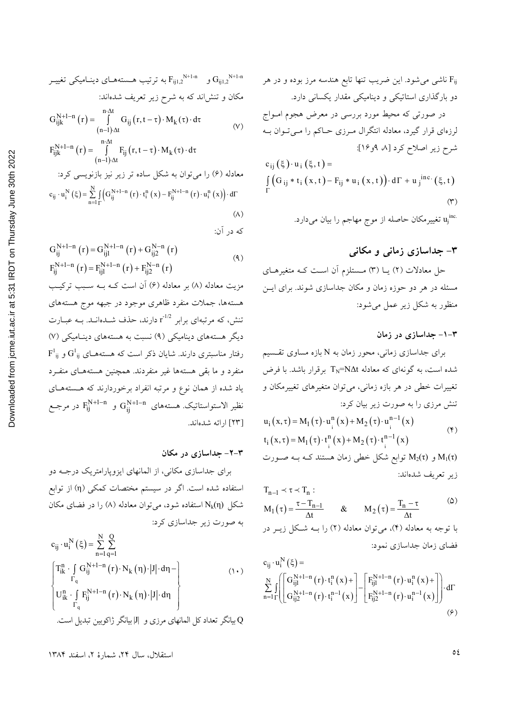و 5<sub>ij1,2</sub>  
\n
$$
G_{ij1,2}
$$
  
\n
$$
G_{ij1,2}
$$
  
\n
$$
G_{ij1,2}
$$
  
\n
$$
G_{ij1,2}
$$
  
\n
$$
G_{ij1,2}
$$
  
\n
$$
G_{ij1,2}
$$
  
\n
$$
G_{ij1,2}
$$
  
\n
$$
G_{ij1,2}
$$
  
\n
$$
G_{ij1,2}
$$
  
\n
$$
G_{ij1,2}
$$
  
\n
$$
G_{ij1,2}
$$
  
\n
$$
G_{ij1,2}
$$
  
\n
$$
G_{ij1,2}
$$
  
\n
$$
G_{ij1}
$$
  
\n
$$
G_{ij1}
$$
  
\n
$$
G_{ij1}
$$
  
\n
$$
G_{ij1}
$$
  
\n
$$
(r, t - \tau) \cdot M_k(\tau) \cdot d\tau
$$
  
\n
$$
G_{ij1}
$$
  
\n
$$
G_{ij1}
$$
  
\n
$$
G_{ij1}
$$
  
\n
$$
G_{ij1}
$$
  
\n
$$
G_{ij1}
$$
  
\n
$$
G_{ij1}
$$
  
\n
$$
G_{ij1}
$$
  
\n
$$
G_{ij1}
$$
  
\n
$$
G_{ij1}
$$
  
\n
$$
G_{ij1}
$$

$$
F_{ijk}^{i_1 + i_2 - i_1} (r) = \int_{(n-1)\cdot \Delta t} F_{ij}(r, t - \tau) \cdot M_k(\tau) \cdot d\tau
$$
\n
$$
(n-1)\cdot \Delta t
$$
\n
$$
\int_{(n-1)\cdot \Delta t} (\tau) \cdot \tau \cdot \Delta t
$$
\n
$$
c_{ij} \cdot u_i^N(\xi) = \sum_{n=1}^N \int_{\Gamma} (G_{ij}^{N+1-n}(r) \cdot t_i^n(x) - F_{ij}^{N+1-n}(r) \cdot u_i^n(x)) \cdot d\Gamma
$$
\n
$$
(A)
$$

که در آن:

$$
G_{ij}^{N+1-n} (r) = G_{ij1}^{N+1-n} (r) + G_{ij2}^{N-n} (r)
$$
  
\n
$$
F_{ij}^{N+1-n} (r) = F_{ij1}^{N+1-n} (r) + F_{ij2}^{N-n} (r)
$$
 (4)

مزیت معادله (۸) بر معادله (۶) آن است کـه بـه سـبب ترکیـب هستهها، جملات منفرد ظاهري موجود در جبهه موج هستههاي تنش، که مرتبهای برابر r<sup>-1/2</sup> دارند، حذف شــدهانــد. بــه عبــارت دیگر هستههای دینامیکی (۹) نسبت به هستههای دینـامیکی (۷)  $F^1_{ij}$  رفتار مناسبتری دارند. شایان ذکر است که هستههـای  $G^1_{ij}$  و منفرد و ما بقی هستهها غیر منفردند. همچنین هستههـای منفـرد یاد شده از همان نوع و مرتبه انفراد برخوردارند که هـستههـای نظیر الاستواستاتیک. هستههای  $\rm G^{N+1-n}_{ij}$  و  $\rm F^{N+1-n}_{ij}$  در مرجـع [٢٣] ارائه شدهاند.

### ۳-۲- جداسازی در مکان

برای جداسازی مکانی، از المانهای ایزوپارامتریک درجـه دو استفاده شده است. اگر در سیستم مختصات کمکی (η) از توابع شکل (Nk(n استفاده شود، میتوان معادله (۸) را در فضای مکان به صورت زیر جداسازی کرد:

$$
c_{ij} \cdot u_i^N(\xi) = \sum_{n=1}^N \sum_{q=1}^Q
$$
  
\n
$$
\begin{cases}\nT_{ik}^n \cdot \int_{\Gamma_q} G_{ij}^{N+1-n}(r) \cdot N_k(\eta) \cdot |J| \cdot d\eta - \int_{\Gamma_q} \\ U_{ik}^n \cdot \int_{\Gamma_q} F_{ij}^{N+1-n}(r) \cdot N_k(\eta) \cdot |J| \cdot d\eta \end{cases}
$$
\n
$$
(1 \cdot)
$$
\n
$$
u^N = \sum_{n=1}^N \sum_{q=1}^N \sum_{q=1}^N \int_{\Gamma_q} G_{ij}^{N+1} d\eta
$$

در صورتی که محیط مورد بررسی در معرض هجوم امواج  
لرزهای قرار گیرد، معادله انتگرال مرزی حاکم را میتوان به  
شرح زیر اصلاح کرد [۸، ۴و۶۲]:  

$$
c_{ij} (\xi) \cdot u_i (\xi, t) = \int_{\Gamma} (G_{ij} * t_i (x, t) - F_{ij} * u_i (x, t)) \cdot d\Gamma + u_j
$$
inc. (ξ, t)  
(۳)

## ۳– جداسازی زمانی و مکانی

حل معادلات (٢) یــا (٣) مــستلزم آن اســت کــه متغیرهــای مسئله در هر دو حوزه زمان و مکان جداسازی شوند. برای ایـــن منظور به شکل زیر عمل میشود:

#### ۰۳–۱– جداسازی در زمان

برای جداسازی زمانی، محور زمان به N بازه مساوی تقسیم شده است، به گونهای که معادله TN=NΔt برقرار باشد. با فرض تغییرات خطی در هر بازه زمانی، می<mark>توان متغیرهای تغییرمکان و</mark> تنش مرزی را به صورت زیر بیان کرد:

$$
u_i(x,\tau) = M_1(\tau) \cdot u_i^{n}(x) + M_2(\tau) \cdot u_i^{n-1}(x)
$$
  
\n
$$
t_i(x,\tau) = M_1(\tau) \cdot t_i^{n}(x) + M_2(\tau) \cdot t_i^{n-1}(x)
$$
 (4)

و  $M_2(\tau)$  توابع شکل خطی زمان هستند کـه بـه صـورت M $_1(\tau)$ زير تعريف شدهاند:

$$
T_{n-1} \prec \tau \prec T_n:
$$
  
\n
$$
M_1(\tau) = \frac{\tau - T_{n-1}}{\Delta t} \qquad & M_2(\tau) = \frac{T_n - \tau}{\Delta t}
$$

با توجه به معادله (۴)، می توان معادله (۲) را بــه شـكل زيــر در فضای زمان جداسازی نمود:

 $N \sim$ 

$$
c_{ij} \cdot u_i^{r} (\xi) =
$$
  
\n
$$
\sum_{n=1}^{N} \int_{\Gamma} \left[ G_{ij1}^{N+1-n} (r) \cdot t_i^{n} (x) + \int_{\Gamma} F_{ij1}^{N+1-n} (r) \cdot u_i^{n} (x) + \int_{\Gamma} F_{ij2}^{N+1-n} (r) \cdot u_i^{n-1} (x) \right] dx
$$
  
\n
$$
F_{ij2}^{N+1-n} (r) \cdot u_i^{n-1} (x) \qquad (9)
$$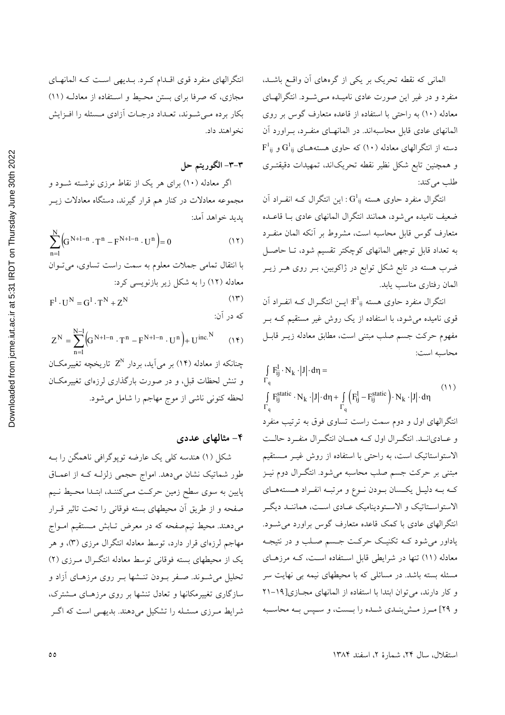المانی که نقطه تحریک بر یکی از گرههای آن واقع باشـد، منفرد و در غیر این صورت عادی نامیـده مـی شـود. انتگرالهـای معادله (١٠) به راحتی با استفاده از قاعده متعارف گوس بر روی المانهای عادی قابل محاسبهاند. در المانهـای منفـرد، بـراورد آن  $F^1_{ij}$  دسته از انتگرالهای معادله (۱۰) که حاوی هستههـای  $G^1_{ij}$  و و همچنین تابع شکل نظیر نقطه تحریکاند، تمهیدات دقیقتـری طلب می کند:

انتگرال منفرد حاوی هسته  $G^1_{ij}$  : این انتگرال کـه انفـراد آن ضعيف ناميده مي شود، همانند انتگرال المانهاي عادي بـا قاعــده متعارف گوس قابل محاسبه است، مشروط بر أنكه المان منفـرد به تعداد قابل توجهي المانهاي كوچكتر تقسيم شود، تــا حاصــل ضرب هسته در تابع شکل توابع در ژاکوبین، بـر روی هـر زیــر المان رفتاري مناسب يابد.

انتگرال منفرد حاوی هسته F'i; ایــن انتگــرال کــه انفــراد آن قوی نامیده میشود، با استفاده از یک روش غیر مستقیم کـه بـر مفهوم حركت جسم صلب مبتنى است، مطابق معادله زيـر قابـل محاسيه است:

 $\int F_{ij}^1 \cdot N_k \cdot |J| \cdot d\eta =$  $(11)$  $\int F_{ij}^{static} \cdot N_k \cdot |J| \cdot d\eta + \int \left( F_{ij}^1 - F_{ij}^{static} \right) \cdot N_k \cdot |J| \cdot d\eta$ انتگرالهای اول و دوم سمت راست تساوی فوق به ترتیب منفرد و عـاديانــد. انتگــرال اول كــه همــان انتگــرال منفــرد حالــت الاستواستاتیک است، به راحتی با استفاده از روش غیـر مـستقیم مبتنی بر حرکت جسم صلب محاسبه میشود. انتگــرال دوم نیــز کـه بـه دليـل يکـسان بـودن نـوع و مرتبـه انفـراد هـستههـاي الاستواسـتاتيک و الاسـتوديناميک عـادي اسـت، هماننـد ديگـر انتگرالهای عادی با کمک قاعده متعارف گوس براورد می شـود. یاداور میشود کـه تکنیـک حرکـت جـسم صـلب و در نتیجـه معادله (١١) تنها در شرايطي قابل استفاده است، كـه مرزهـاي مسئله بسته باشد. در مسائلی که با محیطهای نیمه بی نهایت سر و كار دارند، مى توان ابتدا با استفاده از المانهاى مجازى[14-٢١ و ٢٩] مـرز مـش بنـدي شـده را بـست، و سـپس بـه محاسـبه

انتگرالهای منفرد قوی اقـدام کـرد. بـدیهی اسـت کـه المانهـای مجازی، که صرفا برای بستن محیط و استفاده از معادلـه (١١) بکار برده مـی شـوند، تعـداد درجـات آزادی مـسئله را افـزايش نخواهند داد.

٣-٣- الگوريتم حل

اگر معادله (۱۰) برای هر یک از نقاط مرزی نوشته شـود و مجموعه معادلات در کنار هم قرار گیرند، دستگاه معادلات زیــر يديد خواهد آمد:

$$
\sum_{n=l}^{N}\Bigl(G^{N+l-n}\cdot T^n-F^{N+l-n}\cdot U^n\Bigr)=0\hspace{1.5cm}(\mathcal{N})
$$

ا انتقال تمامی جملات معلوم به سمت راست تساوی، می ت-وان  
معادله (۱۲) را به شکل زیر بازنویسی کرد:  

$$
F^1 \cdot U^N = G^1 \cdot T^N + Z^N
$$

که در آن:  
\n
$$
Z^{N} = \sum_{n=1}^{N-1} (G^{N+1-n} \cdot T^{n} - F^{N+1-n} \cdot U^{n}) + U^{inc. N}
$$
\n(14)  
\n
$$
\Rightarrow
$$
 2<sup>N</sup> 2<sup>N</sup> 2<sup>N</sup> 2<sup>N</sup> 2<sup>N</sup> 2<sup>N</sup> 2<sup>N</sup> 2<sup>N</sup> 2<sup>N</sup> 2<sup>N</sup> 2<sup>N</sup> 2<sup>N</sup> 2<sup>N</sup> 2<sup>N</sup> 2<sup>N</sup> 2<sup>N</sup> 2<sup>N</sup> 2<sup>N</sup> 2<sup>N</sup> 2<sup>N</sup> 2<sup>N</sup> 2<sup>N</sup> 2<sup>N</sup> 2<sup>N</sup> 2<sup>N</sup> 2<sup>N</sup> 2<sup>N</sup> 2<sup>N</sup> 2<sup>N</sup> 2<sup>N</sup> 2<sup>N</sup> 2<sup>N</sup> 2<sup>N</sup> 2<sup>N</sup> 2<sup>N</sup> 2<sup>N</sup> 2<sup>N</sup> 2<sup>N</sup> 2<sup>N</sup> 2<sup>N</sup> 2<sup>N</sup> 2<sup>N</sup> 2<sup>N</sup> 2<sup>N</sup> 2<sup>N</sup> 2<sup>N</sup> 2<sup>N</sup> 2<sup>N</sup> 2<sup>N</sup> 2<sup>N</sup> 2<sup>N</sup> 2<sup>N</sup> 2<sup>N</sup> 2<sup>N</sup> 2<sup>N</sup> 2<sup>N</sup> 2<sup>N</sup> 2<sup>N</sup> 2<sup>N</sup> 2<sup>N</sup> 2<sup>N</sup> 2<sup>N</sup> 2<sup>N</sup> 2<sup>N</sup> 2<sup>N</sup> 2<sup>N</sup> 2<sup>N</sup> 2<sup>N</sup> 2<sup>N</sup> 2<sup>N</sup> 2<sup>N</sup> 2<sup>N</sup> 2<sup>N</sup> 2<sup>N</sup> 2<sup>N</sup> 2<sup>N</sup> 2<sup>N</sup> 2<sup>N</sup> 2<sup>N</sup> 2<sup>N</sup> 2<sup>N</sup> 2<sup>N</sup> 2<sup>N</sup> 2<sup>N</sup> 2<sup>N</sup>

### ۴– مثالهای عددی

شکل (۱) هندسه کلی یک عارضه توپوگرافی ناهمگن را بـه طور شماتیک نشان میدهد. امواج حجمی زلزلـه کـه از اعمــاق پایین به سوی سطح زمین حرکت مـیکننـد، ابتـدا محـیط نـیم صفحه و از طریق آن محیطهای بسته فوقانی را تحت تاثیر قــرار میدهند. محیط نیمصفحه که در معرض تـابش مـستقیم امـواج مهاجم لرزهای قرار دارد، توسط معادله انتگرال مرزی (۳)، و هر یک از محیطهای بسته فوقانی توسط معادله انتگرال مرزی (۲) تحلیل می شوند. صفر بـودن تنـشها بـر روی مرزهـای آزاد و سازگاری تغییرمکانها و تعادل تنشها بر روی مرزهـای مــشترک، شرایط مـرزی مسئـله را تشکیل میدهند. بدیهـی است که اگــر

استقلال، سال ٢۴، شمارة ٢، اسفند ١٣٨۴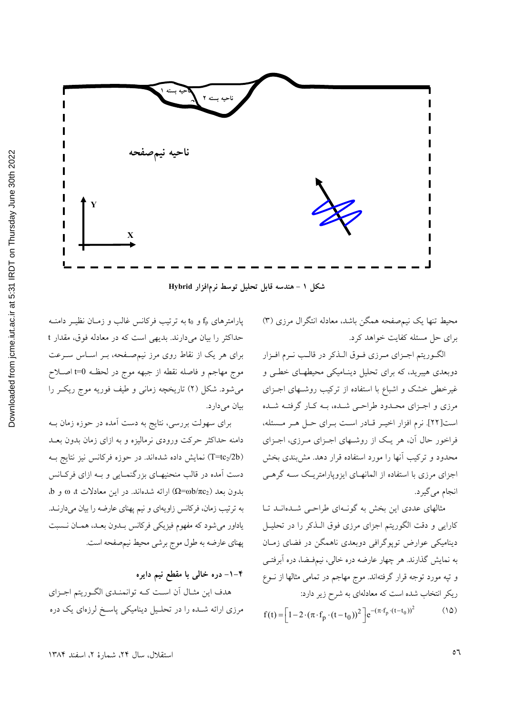

شکل ۱ - هندسه قابل تحلیل توسط نرمافزار Hybrid

محیط تنها یک نیمصفحه همگن باشد، معادله انتگرال مرزی (۳) برای حل مسئله کفایت خواهد کرد.

الگوريتم اجـزاي مـرزي فـوق الـذكر در قالـب نـرم افـزار دوبعدی هیبرید، که برای تحلیل دینـامیکی محیطهـای خطـی و غیرخطی خشک و اشباع با استفاده از ترکیب روشـهای اجـزای مرزی و اجـزای محـدود طراحـی شـده، بـه کـار گرفتـه شـده است[٢٢]. نرم افزار اخيـر قـادر اسـت بـراي حـل هـر مـسئله، فراخور حال آن، هر یک از روشهای اجـزای مـرزی، اجـزای محدود و ترکیب آنها را مورد استفاده قرار دهد. مش بندی بخش اجزای مرزی با استفاده از المانهـای ایزوپارامتریـک سـه گرهـی انجام مي گيرد.

مثالهای عددی این بخش به گونـهای طراحـی شـدهانـد تـا كارايي و دقت الگوريتم اجزاي مرزي فوق الــذكر را در تحليــل دینامیکی عوارض توپوگرافی دوبعدی ناهمگن در فضای زمـان به نمایش گذارند. هر چهار عارضه دره خالبی، نیمفضا، دره اَبرفتــی و تپه مورد توجه قرار گرفتهاند. موج مهاجم در تمامی مثالها از نــوع ریکر انتخاب شده است که معادلهای به شرح زیر دارد:

$$
f(t) = \left[1 - 2 \cdot (\pi \cdot f_p \cdot (t - t_0))^2\right] e^{-(\pi \cdot f_p \cdot (t - t_0))^2}
$$
 (10)

پارامترهای f<sub>p</sub> و t<sub>0</sub> به ترتیب فرکانس غالب و زمــان نظیــر دامنــه حداکثر را بیان میدارند. بدیهی است که در معادله فوق، مقدار t برای هر یک از نقاط روی مرز نیمصفحه، بـر اسـاس سـرعت موج مهاجم و فاصله نقطه از جبهه موج در لحظـه 0=t اصـلاح می شود. شکل (۲) تاریخچه زمانی و طیف فوریه موج ریک را بيان مى دارد.

برای سهولت بررسی، نتایج به دست آمده در حوزه زمان بــه دامنه حداکثر حرکت ورودی نرمالیزه و به ازای زمان بدون بعـد (T=tc2/2b) نمایش داده شدهاند. در حوزه فرکانس نیز نتایج بــه دست آمده در قالب منحنیهـای بزرگنمـایی و بـه ازای فرکـانس  $\omega$  بدون بعد ( $\Omega$ =ωb/ $\pi$ ) ارائه شدهاند. در این معادلات  $\omega$  و  $\omega$ به ترتیب زمان، فرکانس زاویهای و نیم پهنای عارضه را بیان میدارنــد. یاداور می شود که مفهوم فیزیکی فرکانس بــدون بعــد، همــان نــسبت پهنای عارضه به طول موج برشی محیط نیم صفحه است.

۴–۱– دره خالبی با مقطع نیم دایره هدف این مثـال آن اسـت کـه توانمنـدي الگـوريتم اجـزاي مرزی ارائه شـده را در تحلـیل دینامیکی پاسـخ لرزهای یک دره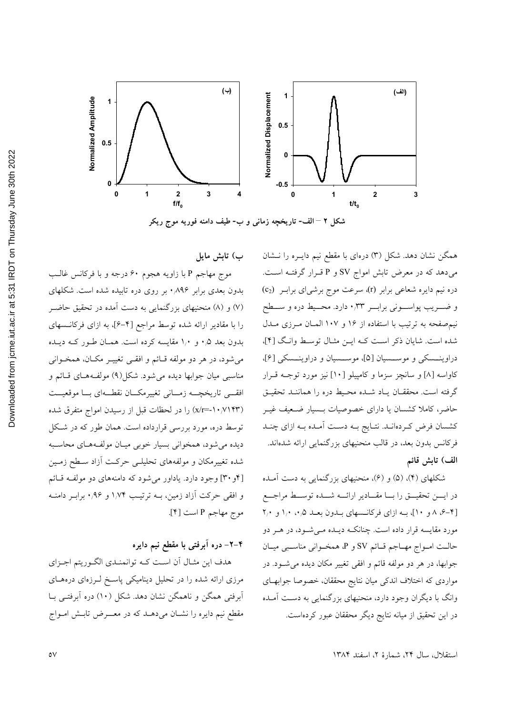

شکل ۲ – الف- تاریخچه زمانی و ب- طیف دامنه فوریه موج ریکر

ب) تابش مايل

موج مهاجم P با زاويه هجوم ۶۰ درجه و با فركانس غالب بدون بعدی برابر ۸۹۶٪ بر روی دره تابیده شده است. شکلهای (۷) و (۸) منحنیهای بزرگنمایی به دست آمده در تحقیق حاضـر را با مقادیر ارائه شده توسط مراجع [۴–۶]، به ازای فرکانــسهای بدون بعد ۰٫۵ و ۱٫۰ مقایسه کرده است. همـان طـور کـه دیـده می شود، در هر دو مولفه قـائم و افقــی تغییــر مکــان، همخــوانی مناسبي ميان جوابها ديده مي شود. شكل(٩) مولف4هـاي قـائم و افقے تاریخچــه زمــانی تغییرمکــان نقطــهای بــا موقعیــت (x/r=-۱۰/۷۱۴۳) را در لحظات قبل از رسیدن امواج متفرق شده توسط دره، مورد بررسی قرارداده است. همان طور که در شکل دیده می شود، همخوانی بسیار خوبی میـان مولفـههـای محاسـبه شده تغییرمکان و مولفههای تحلیلـی حرکـت آزاد سـطح زمـین [۴و ۳۰] وجود دارد. یاداور میشود که دامنههای دو مولفه قائم و افقی حرکت آزاد زمین، بـه ترتیـب ۱٬۷۴ و ۰٬۹۶ برابـر دامنـه موج مهاجم P است [۴].

# ۴–۲– دره آبرفتی با مقطع نیم دایره

هدف این مثـال أن اسـت كـه توانمنـدي الگـوريتم اجـزاي مرزی ارائه شده را در تحلیل دینامیکی پاسخ لـرزهای درههـای آبرفتی همگن و ناهمگن نشان دهد. شکل (۱۰) دره آبرفتـی بـا مقطع نیم دایره را نشـان میدهـد که در معـــرض تابـش امــواج

همگن نشان دهد. شکل (۳) درهای با مقطع نیم دایـره را نـشان می دهد که در معرض تابش امواج SV و P قـرار گرفتـه اسـت. دره نیم دایره شعاعی برابر (r)، سرعت موج برشی ای برابـر (c2) و ضـــــریب پواســــونی برابــــر ۰٫۳۳ دارد. محــــیط دره و ســــطح نیم صفحه به ترتیب با استفاده از ۱۶ و ۱۰۷ المـان مـرزی مـدل شده است. شایان ذکر است کـه ایـن مثـال توسط وانـگ [۴]، دراوینـسکی و موسـسیان [۵]، موسـسیان و دراوینـسکی [۶]، کاواسه [۸] و سانچز سزما و کامپیلو [۱۰] نیز مورد توجـه قــرار گرفته است. محققـان يـاد شـده محـيط دره را هماننـد تحقيـق حاضر، کاملا کشسان یا دارای خصوصیات بـسیار ضـعیف غیـر كشسان فرض كردهانـد. نتـايج بـه دسـت أمـده بـه ازاي چنـد فرکانس بدون بعد، در قالب منحنیهای بزرگنمایی ارائه شدهاند. الف) تابش قائم

شکلهای (۴)، (۵) و (۶)، منحنیهای بزرگنمایی به دست آمـده در ایسن تحقیمی را با مقادیر ارائسه شمه توسط مراجع [۴-۶، ۸ و ۱۰]، بـه ازای فرکانـسهای بـدون بعـد ۰٫۵، ۱٫۰ و ۲٫۰ مورد مقایسه قرار داده است. چنانکـه دیـده مـیشـود، در هــر دو حالت امـواج مهـاجم قـائم SV و P، همخـواني مناسـبي ميـان جوابها، در هر دو مولفه قائم و افقی تغییر مکان دیده می شـود. در مواردی که اختلاف اندکی میان نتایج محققان، خصوصا جوابهـای وانگ با دیگران وجود دارد، منحنیهای بزرگنمایی به دست آمـده در این تحقیق از میانه نتایج دیگر محققان عبور کردهاست.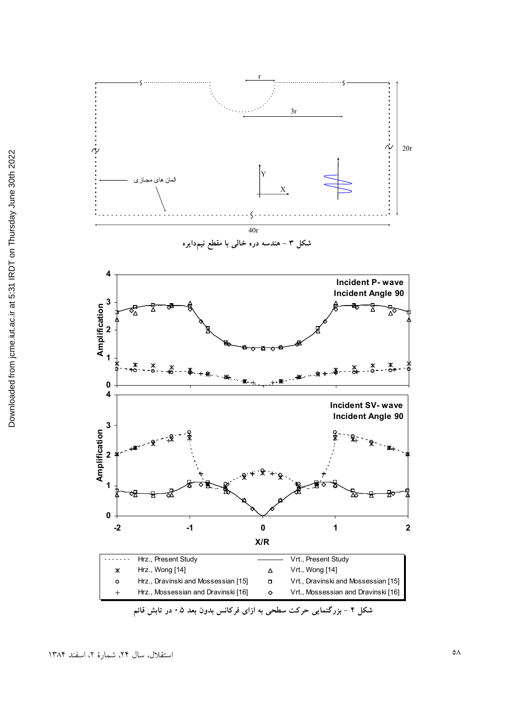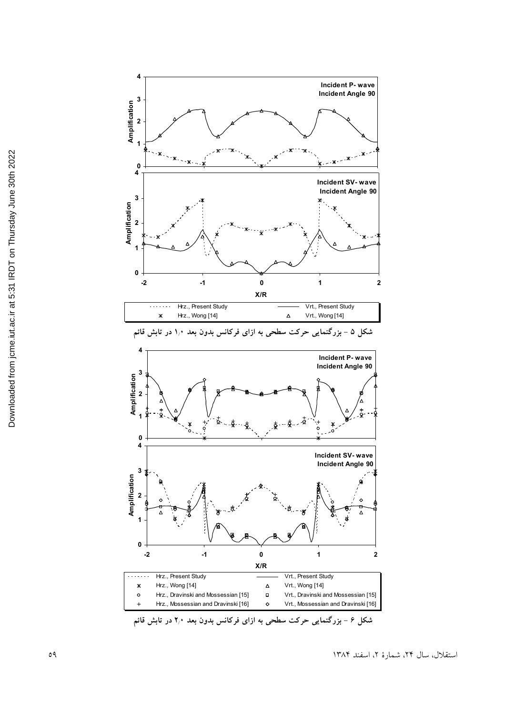

شکل ۶ – بزرگنمایی حرکت سطحی به ازای فرکانس بدون بعد ۲٫۰ در تابش قائم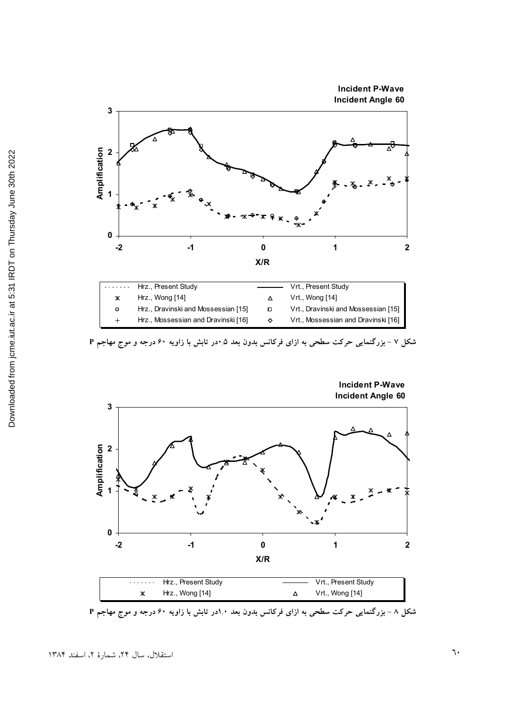





شکل ۸ – بزرگنمایی حرکت سطحی به ازای فرکانس بدون بعد ۱٫۰در تابش با زاویه ۶۰ درجه و موج مهاجم P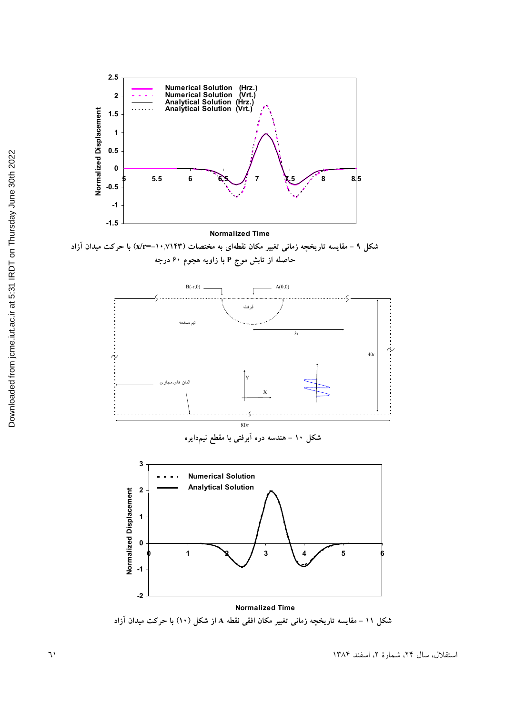

شکل ۹ – مقایسه تاریخچه زمانی تغییر مکان نقطهای به مختصات (۱۰٬۷۱۴۳=x/r=) با حرکت میدان آزاد حاصله از تابش موج P با زاویه هجوم ۶۰ درجه



شکل ۱۰ – هندسه دره ابرفتی با مقطع نیمدایره



شکل ۱۱ – مقایسه تاریخچه زمانی تغییر مکان افقی نقطه A از شکل (۱۰) با حرکت میدان آزاد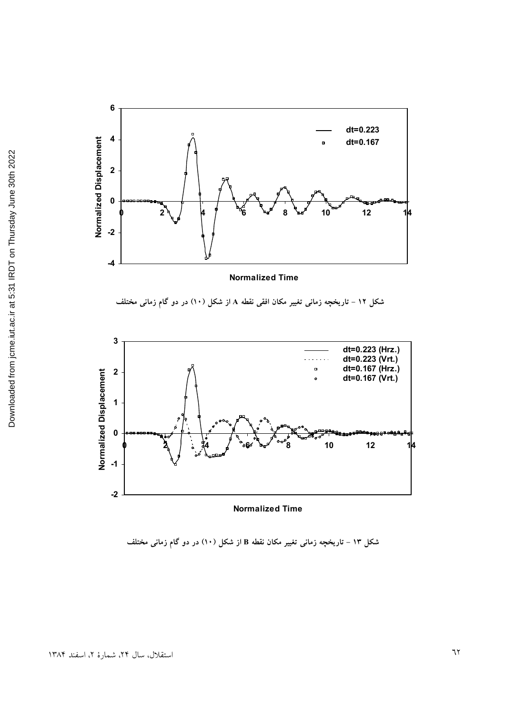

شکل ۱۳ – تاریخچه زمانی تغییر مکان نقطه B از شکل (۱۰) در دو گام زمانی مختلف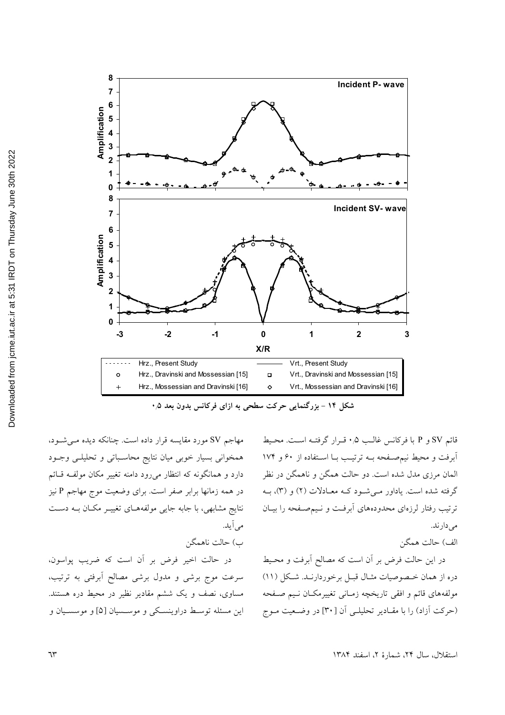

شکل ۱۴ - بزرگنمایی حرکت سطحی به ازای فرکانس بدون بعد ۰٫۵

مهاجم SV مورد مقایسه قرار داده است. چنانکه دیده می شود، همخوانی بسیار خوبی میان نتایج محاسباتی و تحلیلے وجود دارد و همانگونه که انتظار میرود دامنه تغییر مکان مولف قائم در همه زمانها برابر صفر است. برای وضعیت موج مهاجم P نیز نتایج مشابهی، با جابه جایی مولفههـای تغییـر مکـان بـه دسـت مے آبد.

ب) حالت ناهمگن

در حالت اخیر فرض بر آن است که ضریب پواسون، سرعت موج برشی و مدول برشی مصالح أبرفتی به ترتیب، مساوی، نصف و یک ششم مقادیر نظیر در محیط دره هستند. این مسئله توسط دراوینسکی و موسسیان [۵] و موسسـیان و

قائم SV و P با فركانس غالب ۰٫۵ قـرار گرفتـه اسـت. محـيط آبرفت و محیط نیمصفحه بـه ترتیب بـا اسـتفاده از ۶۰ و ۱۷۴ المان مرزی مدل شده است. دو حالت همگن و ناهمگن در نظر گرفته شده است. یاداور مـی شـود کـه معـادلات (۲) و (۳)، بــه ترتیب رفتار لرزهای محدودههای اَبرفت و نـیمصـفحه را بیــان مے دارند.

الف) حالت همگن

در این حالت فرض بر آن است که مصالح آبرفت و محـیط دره از همان خـصوصیات مثـال قبـل برخوردارنـد. شـكل (١١) مولفههای قائم و افقی تاریخچه زمـانی تغییرمکـان نـیم صـفحه (حركت أزاد) را با مقـادير تحليلـي أن [٣٠] در وضـعيت مـوج

استقلال، سال ٢۴، شمارهٔ ٢، اسفند ١٣٨۴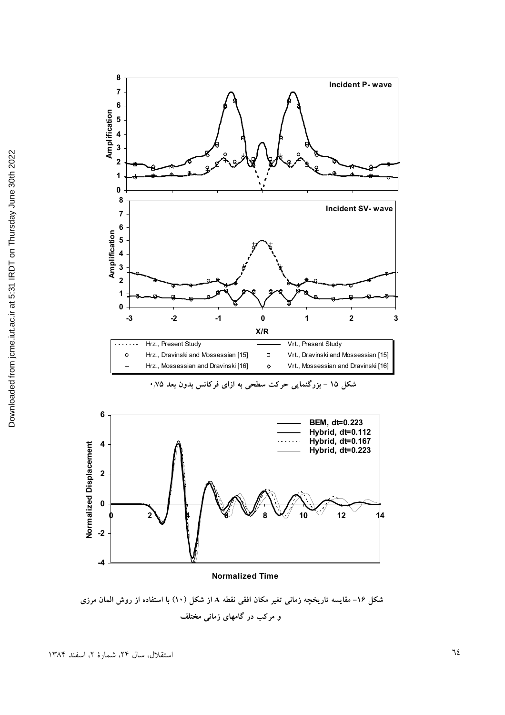





#### **Normalized Time**

شکل ۱۶– مقایسه تاریخچه زمانی تغیر مکان افقی نقطه A از شکل (۱۰) با استفاده از روش المان مرزی و مرکب در گامهای زمان*ی* مختلف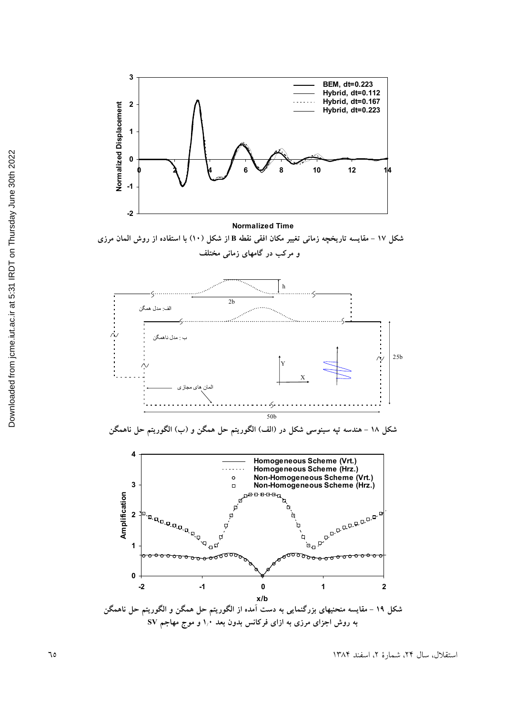

**Normalized Time**

شکل ۱۷ – مقایسه تاریخچه زمانی تغییر مکان افقی نقطه B از شکل (۱۰) با استفاده از روش المان مرزی و مرکب در گامهای زمان*ی* مختلف



شکل ۱۸ – هندسه تپه سینوسی شکل در (الف) الگوریتم حل همگن و (ب) الگوریتم حل ناهمگن



**Z \$ W V a" / a" () \* / SV ?) . P >/**

استقلال، سال ۲۴، شمارهٔ ۲، اسفند ۱۳۸۴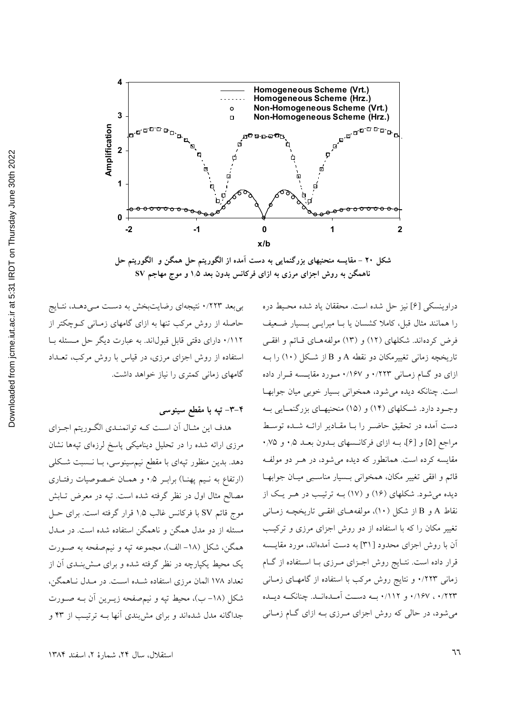

شکل ۲۰ – مقایسه منحنیهای بزرگنمایی به دست آمده از الگوریتم حل همگن و الگوریتم حل ناهمگن به روش اجزای مرزی به ازای فرکانس بدون بعد ۱٫۵ و موج مهاجم SV

بی بعد ۰/۲۲۳ نتیجهای رضایتبخش به دست می دهـد، نتـایج حاصله از روش مرکب تنها به ازای گامهای زمـانی کــوچکتر از ۰/۱۱۲ دارای دقتی قابل قبولاند. به عبارت دیگر حل مـسئله بـا استفاده از روش اجزای مرزی، در قیاس با روش مرکب، تعـداد گامهای زمانی کمتری را نیاز خواهد داشت.

# ۴–۳– تپه با مقطع سینوسی

هدف این مثـال آن اسـت کـه توانمنـدي الگـوریتم اجـزاي مرزی ارائه شده را در تحلیل دینامیکی پاسخ لرزهای تپهها نشان دهد. بدین منظور تپهای با مقطع نیمسینوسی، بــا نــسبت شــکلی (ارتفاع به نيم پهنــا) برابـر ۰٫۵ و همــان خــصوصيات رفتــاري مصالح مثال اول در نظر گرفته شده است. تپه در معرض تـابش موج قائم SV با فركانس غالب ۱٫۵ قرار گرفته است. براي حـل مسئله از دو مدل همگن و ناهمگن استفاده شده است. در مــدل همگن، شکل (۱۸- الف)، مجموعه تپه و نیمصفحه به صـورت یک محیط یکپارچه در نظر گرفته شده و برای مش;بنـدی آن از تعداد ۱۷۸ المان مرزی استفاده شـده اسـت. در مـدل نـاهمگن، شکل (۱۸– ب)، محیط تپه و نیمصفحه زیــرین آن بــه صــورت جداگانه مدل شدهاند و برای مش بندی آنها بــه ترتیـب از ۴۳ و

را همانند مثال قبل، کاملا کشسان یا بــا میرایــی بــسیار ضــعیف فرض کردهاند. شکلهای (۱۲) و (۱۳) مولفههـای قـائم و افقـی تاریخچه زمانی تغییرمکان دو نقطه A و B از شکل (۱۰) را بـه ازای دو گـام زمـانی ۰/۲۲۳ و ۰/۱۶۷ مـورد مقايـسه قـرار داده است. چنانکه دیده می شود، همخوانی بسیار خوبی میان جوابها وجود دارد. شکلهای (۱۴) و (۱۵) منحنیهای بزرگنمایی به دست آمده در تحقیق حاضـر را بـا مقـادیر ارائـه شـده توسـط مراجع [۵] و [۶]، بــه ازاي فركانــسهاى بــدون بعــد ۰٫۵ و ۰٫۷۵ مقایسه کرده است. همانطور که دیده میشود، در هـر دو مولفـه قائم و افقی تغییر مکان، همخوانی بـسیار مناسـبی میـان جوابهـا دیده میشود. شکلهای (۱۶) و (۱۷) بـه ترتیـب در هـر یـک از نقاط A و B از شکل (۱۰)، مولفههـای افقـی تاریخچــه زمـانی تغییر مکان را که با استفاده از دو روش اجزای مرزی و ترکیب آن با روش اجزای محدود [۳۱] به دست آمدهاند، مورد مقایــسه قرار داده است. نتـايج روش اجـزاي مـرزي بــا اســتفاده از گــام زمانی ۰/۲۲۳ و نتایج روش مرکب با استفاده از گامهـای زمـانی ۰/۲۲۳ ، ۱۶۷۰ و ۰/۱۱۲ به دست آمـدهانـد. چنانکـه ديـده میشود، در حالی که روش اجزای مـرزی بــه ازای گــام زمــانی

دراوينسكي [۶] نيز حل شده است. محققان ياد شده محيط دره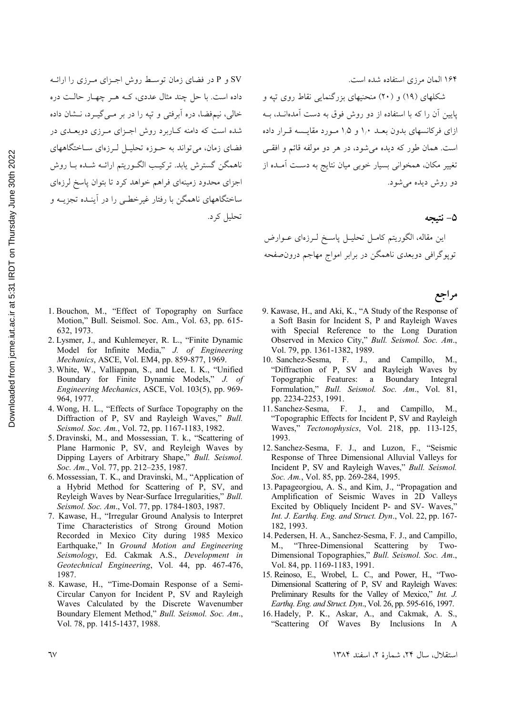SV و P در فضای زمان توسط روش اجـزای مـرزی را ارائــه داده است. با حل چند مثال عددی، کـه هـر چهـار حالـت دره خالي، نيم فضا، دره اَبرفتي و تپه را در بر مـي گيـرد، نـشان داده شده است که دامنه کباربرد روش اجـزای مـرزی دوبعـدی در فضای زمان، می تواند به حـوزه تحلیـل لـرزهای سـاختگاههای ناهمگن گسترش يابد. تركيب الگـوريتم ارائــه شــده بــا روش اجزای محدود زمینهای فراهم خواهد کرد تا بتوان پاسخ لرزهای ساختگاههای ناهمگن با رفتار غیرخطبی را در آینـده تجزیــه و تحليل كرد.

۱۶۴ المان مرزى استفاده شده است.

شکلهای (۱۹) و (۲۰) منحنیهای بزرگنمایی نقاط روی تپه و پایین آن را که با استفاده از دو روش فوق به دست آمدهانــد، بــه ازای فرکانسهای بدون بعـد ۱٫۰ و ۱٫۵ مـورد مقایـسه قـرار داده است. همان طور که دیده می شود، در هر دو مولفه قائم و افقی تغییر مکان، همخوانی بسیار خوبی میان نتایج به دست آمـده از دو روش دہلہ مے شود.

#### ۵– نتىحە

مراجع

اين مقاله، الگوريتم كامـل تحليـل پاسـخ لـرزهاي عــوارض توپوگرافی دوبعدی ناهمگن در برابر امواج مهاجم درونصفحه

- 1. Bouchon, M., "Effect of Topography on Surface Motion," Bull. Seismol. Soc. Am., Vol. 63, pp. 615-632, 1973.
- 2. Lysmer, J., and Kuhlemeyer, R. L., "Finite Dynamic Model for Infinite Media," J. of Engineering Mechanics, ASCE, Vol. EM4, pp. 859-877, 1969.
- 3. White, W., Valliappan, S., and Lee, I. K., "Unified Boundary for Finite Dynamic Models," J. of Engineering Mechanics, ASCE, Vol. 103(5), pp. 969-964, 1977.
- 4. Wong, H. L., "Effects of Surface Topography on the Diffraction of P, SV and Rayleigh Waves," Bull. Seismol. Soc. Am., Vol. 72, pp. 1167-1183, 1982.
- 5. Dravinski, M., and Mossessian, T. k., "Scattering of Plane Harmonic P, SV, and Reyleigh Waves by Dipping Layers of Arbitrary Shape," Bull. Seismol. Soc. Am., Vol. 77, pp. 212-235, 1987.
- 6. Mossessian, T. K., and Dravinski, M., "Application of a Hybrid Method for Scattering of P, SV, and Reyleigh Waves by Near-Surface Irregularities," Bull. Seismol. Soc. Am., Vol. 77, pp. 1784-1803, 1987.
- 7. Kawase, H., "Irregular Ground Analysis to Interpret Time Characteristics of Strong Ground Motion Recorded in Mexico City during 1985 Mexico Earthquake," In Ground Motion and Engineering Seismology, Ed. Cakmak A.S., Development in Geotechnical Engineering, Vol. 44, pp. 467-476, 1987.
- 8. Kawase, H., "Time-Domain Response of a Semi-Circular Canyon for Incident P, SV and Rayleigh Waves Calculated by the Discrete Wavenumber Boundary Element Method," Bull. Seismol. Soc. Am., Vol. 78, pp. 1415-1437, 1988.
- 9. Kawase, H., and Aki, K., "A Study of the Response of a Soft Basin for Incident S, P and Rayleigh Waves with Special Reference to the Long Duration Observed in Mexico City," Bull. Seismol. Soc. Am., Vol. 79, pp. 1361-1382, 1989.
- 10. Sanchez-Sesma, F. J., and Campillo, M., "Diffraction of P. SV and Rayleigh Waves by Topographic Features: a Boundary Integral Formulation," Bull. Seismol. Soc. Am., Vol. 81, pp. 2234-2253, 1991.
- 11. Sanchez-Sesma, F. J., and Campillo, M., "Topographic Effects for Incident P, SV and Rayleigh Waves," Tectonophysics, Vol. 218, pp. 113-125, 1993.
- 12. Sanchez-Sesma, F. J., and Luzon, F., "Seismic Response of Three Dimensional Alluvial Valleys for Incident P, SV and Rayleigh Waves," Bull. Seismol. Soc. Am., Vol. 85, pp. 269-284, 1995.
- 13. Papageorgiou, A. S., and Kim, J., "Propagation and Amplification of Seismic Waves in 2D Valleys Excited by Obliquely Incident P- and SV- Waves," Int. J. Earthg. Eng. and Struct. Dyn., Vol. 22, pp. 167-182, 1993.
- 14. Pedersen, H. A., Sanchez-Sesma, F. J., and Campillo, "Three-Dimensional Scattering by Two-M Dimensional Topographies," Bull. Seismol. Soc. Am., Vol. 84, pp. 1169-1183, 1991.
- 15. Reinoso, E., Wrobel, L. C., and Power, H., "Two-Dimensional Scattering of P, SV and Rayleigh Waves: Preliminary Results for the Valley of Mexico," Int. J. Earthq. Eng. and Struct. Dyn., Vol. 26, pp. 595-616, 1997.
- 16. Hadely, P. K., Askar, A., and Cakmak, A. S., "Scattering Of Waves By Inclusions In A